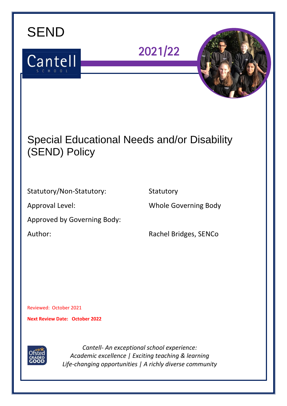

*Life-changing opportunities | A richly diverse community*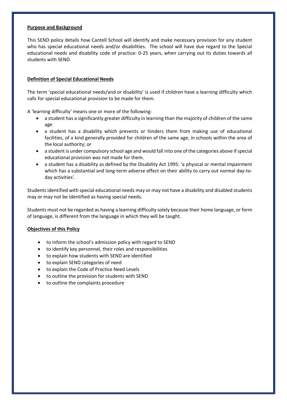#### **Purpose and Background**

This SEND policy details how Cantell School will identify and make necessary provision for any student who has special educational needs and/or disabilities. The school will have due regard to the Special educational needs and disability code of practice: 0-25 years, when carrying out its duties towards all students with SEND.

# **Definition of Special Educational Needs**

The term 'special educational needs/and or disability' is used if children have a learning difficulty which calls for special educational provision to be made for them.

A 'learning difficulty' means one or more of the following:

- a student has a significantly greater difficulty in learning than the majority of children of the same age
- a student has a disability which prevents or hinders them from making use of educational facilities, of a kind generally provided for children of the same age, in schools within the area of the local authority; or
- a student is under compulsory school age and would fall into one of the categories above if special educational provision was not made for them.
- a student has a disability as defined by the Disability Act 1995: 'a physical or mental impairment which has a substantial and long-term adverse effect on their ability to carry out normal day-today activities'.

Students identified with special educational needs may or may not have a disability and disabled students may or may not be identified as having special needs.

Students must not be regarded as having a learning difficulty solely because their home language, or form of language, is different from the language in which they will be taught.

### **Objectives of this Policy**

- to inform the school's admission policy with regard to SEND
- to identify key personnel, their roles and responsibilities
- to explain how students with SEND are identified
- to explain SEND categories of need
- to explain the Code of Practice Need Levels
- to outline the provision for students with SEND
- to outline the complaints procedure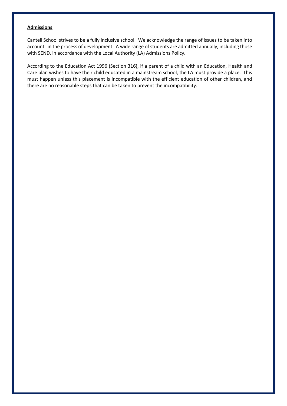#### **Admissions**

Cantell School strives to be a fully inclusive school. We acknowledge the range of issues to be taken into account in the process of development. A wide range of students are admitted annually, including those with SEND, in accordance with the Local Authority (LA) Admissions Policy.

According to the Education Act 1996 (Section 316), if a parent of a child with an Education, Health and Care plan wishes to have their child educated in a mainstream school, the LA must provide a place. This must happen unless this placement is incompatible with the efficient education of other children, and there are no reasonable steps that can be taken to prevent the incompatibility.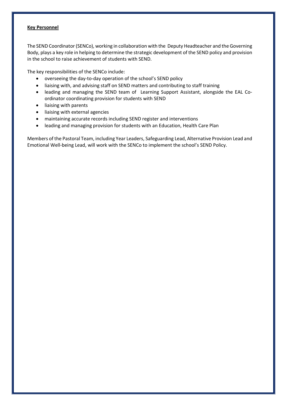### **Key Personnel**

The SEND Coordinator (SENCo), working in collaboration with the Deputy Headteacher and the Governing Body, plays a key role in helping to determine the strategic development of the SEND policy and provision in the school to raise achievement of students with SEND.

The key responsibilities of the SENCo include:

- overseeing the day-to-day operation of the school's SEND policy
- liaising with, and advising staff on SEND matters and contributing to staff training
- leading and managing the SEND team of Learning Support Assistant, alongside the EAL Coordinator coordinating provision for students with SEND
- liaising with parents
- liaising with external agencies
- maintaining accurate records including SEND register and interventions
- leading and managing provision for students with an Education, Health Care Plan

Members of the Pastoral Team, including Year Leaders, Safeguarding Lead, Alternative Provision Lead and Emotional Well-being Lead, will work with the SENCo to implement the school's SEND Policy.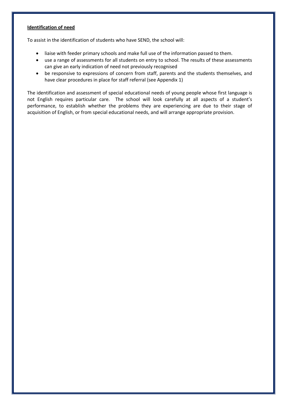# **Identification of need**

To assist in the identification of students who have SEND, the school will:

- liaise with feeder primary schools and make full use of the information passed to them.
- use a range of assessments for all students on entry to school. The results of these assessments can give an early indication of need not previously recognised
- be responsive to expressions of concern from staff, parents and the students themselves, and have clear procedures in place for staff referral (see Appendix 1)

The identification and assessment of special educational needs of young people whose first language is not English requires particular care. The school will look carefully at all aspects of a student's performance, to establish whether the problems they are experiencing are due to their stage of acquisition of English, or from special educational needs, and will arrange appropriate provision.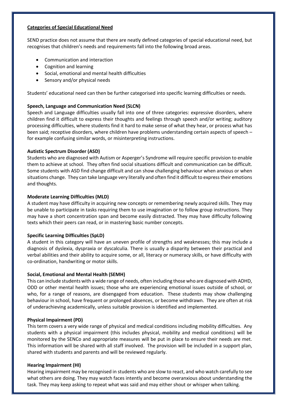#### **Categories of Special Educational Need**

SEND practice does not assume that there are neatly defined categories of special educational need, but recognises that children's needs and requirements fall into the following broad areas.

- Communication and interaction
- Cognition and learning
- Social, emotional and mental health difficulties
- Sensory and/or physical needs

Students' educational need can then be further categorised into specific learning difficulties or needs.

### **Speech, Language and Communication Need (SLCN)**

Speech and Language difficulties usually fall into one of three categories: expressive disorders, where children find it difficult to express their thoughts and feelings through speech and/or writing; auditory processing difficulties, where students find it hard to make sense of what they hear, or process what has been said; receptive disorders, where children have problems understanding certain aspects of speech – for example confusing similar words, or misinterpreting instructions.

### **Autistic Spectrum Disorder (ASD)**

Students who are diagnosed with Autism or Asperger's Syndrome will require specific provision to enable them to achieve at school. They often find social situations difficult and communication can be difficult. Some students with ASD find change difficult and can show challenging behaviour when anxious or when situations change. They can take language very literally and often find it difficult to express their emotions and thoughts.

### **Moderate Learning Difficulties (MLD)**

A student may have difficulty in acquiring new concepts or remembering newly acquired skills. They may be unable to participate in tasks requiring them to use imagination or to follow group instructions. They may have a short concentration span and become easily distracted. They may have difficulty following texts which their peers can read, or in mastering basic number concepts.

### **Specific Learning Difficulties (SpLD)**

A student in this category will have an uneven profile of strengths and weaknesses; this may include a diagnosis of dyslexia, dyspraxia or dyscalculia. There is usually a disparity between their practical and verbal abilities and their ability to acquire some, or all, literacy or numeracy skills, or have difficulty with co-ordination, handwriting or motor skills.

### **Social, Emotional and Mental Health (SEMH)**

This can include students with a wide range of needs, often including those who are diagnosed with ADHD, ODD or other mental health issues; those who are experiencing emotional issues outside of school, or who, for a range of reasons, are disengaged from education. These students may show challenging behaviour in school, have frequent or prolonged absences, or become withdrawn. They are often at risk of underachieving academically, unless suitable provision is identified and implemented.

### **Physical Impairment (PD)**

This term covers a very wide range of physical and medical conditions including mobility difficulties. Any students with a physical impairment (this includes physical, mobility and medical conditions) will be monitored by the SENCo and appropriate measures will be put in place to ensure their needs are met. This information will be shared with all staff involved. The provision will be included in a support plan, shared with students and parents and will be reviewed regularly.

### **Hearing Impairment (HI)**

Hearing impairment may be recognised in students who are slow to react, and who watch carefully to see what others are doing. They may watch faces intently and become overanxious about understanding the task. They may keep asking to repeat what was said and may either shout or whisper when talking.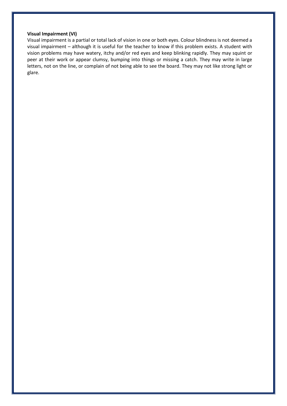#### **Visual Impairment (VI)**

Visual impairment is a partial or total lack of vision in one or both eyes. Colour blindness is not deemed a visual impairment – although it is useful for the teacher to know if this problem exists. A student with vision problems may have watery, itchy and/or red eyes and keep blinking rapidly. They may squint or peer at their work or appear clumsy, bumping into things or missing a catch. They may write in large letters, not on the line, or complain of not being able to see the board. They may not like strong light or glare.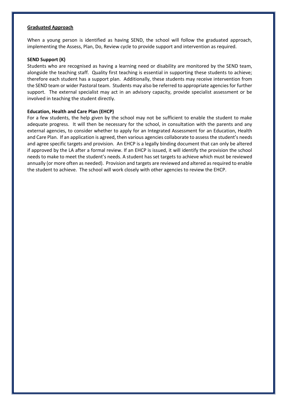#### **Graduated Approach**

When a young person is identified as having SEND, the school will follow the graduated approach, implementing the Assess, Plan, Do, Review cycle to provide support and intervention as required.

#### **SEND Support (K)**

Students who are recognised as having a learning need or disability are monitored by the SEND team, alongside the teaching staff. Quality first teaching is essential in supporting these students to achieve; therefore each student has a support plan. Additionally, these students may receive intervention from the SEND team or wider Pastoral team. Students may also be referred to appropriate agencies for further support. The external specialist may act in an advisory capacity, provide specialist assessment or be involved in teaching the student directly.

#### **Education, Health and Care Plan (EHCP)**

For a few students, the help given by the school may not be sufficient to enable the student to make adequate progress. It will then be necessary for the school, in consultation with the parents and any external agencies, to consider whether to apply for an Integrated Assessment for an Education, Health and Care Plan. If an application is agreed, then various agencies collaborate to assess the student's needs and agree specific targets and provision. An EHCP is a legally binding document that can only be altered if approved by the LA after a formal review. If an EHCP is issued, it will identify the provision the school needs to make to meet the student's needs. A student has set targets to achieve which must be reviewed annually (or more often as needed). Provision and targets are reviewed and altered as required to enable the student to achieve. The school will work closely with other agencies to review the EHCP.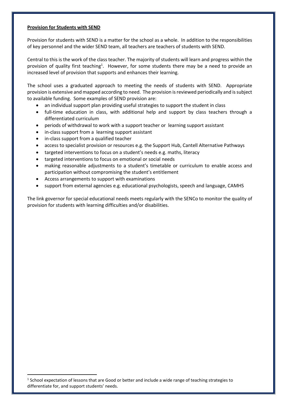#### **Provision for Students with SEND**

Provision for students with SEND is a matter for the school as a whole. In addition to the responsibilities of key personnel and the wider SEND team, all teachers are teachers of students with SEND.

Central to this is the work of the class teacher. The majority of students will learn and progress within the provision of quality first teaching<sup>1</sup>. However, for some students there may be a need to provide an increased level of provision that supports and enhances their learning.

The school uses a graduated approach to meeting the needs of students with SEND. Appropriate provision is extensive and mapped according to need. The provision is reviewed periodically and is subject to available funding. Some examples of SEND provision are:

- an individual support plan providing useful strategies to support the student in class
- full-time education in class, with additional help and support by class teachers through a differentiated curriculum
- periods of withdrawal to work with a support teacher or learning support assistant
- in-class support from a learning support assistant
- in-class support from a qualified teacher

**.** 

- access to specialist provision or resources e.g. the Support Hub, Cantell Alternative Pathways
- targeted interventions to focus on a student's needs e.g. maths, literacy
- targeted interventions to focus on emotional or social needs
- making reasonable adjustments to a student's timetable or curriculum to enable access and participation without compromising the student's entitlement
- Access arrangements to support with examinations
- support from external agencies e.g. educational psychologists, speech and language, CAMHS

The link governor for special educational needs meets regularly with the SENCo to monitor the quality of provision for students with learning difficulties and/or disabilities.

 $<sup>1</sup>$  School expectation of lessons that are Good or better and include a wide range of teaching strategies to</sup> differentiate for, and support students' needs.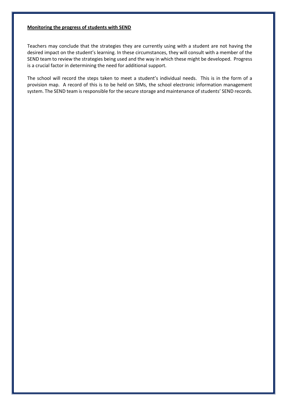#### **Monitoring the progress of students with SEND**

Teachers may conclude that the strategies they are currently using with a student are not having the desired impact on the student's learning. In these circumstances, they will consult with a member of the SEND team to review the strategies being used and the way in which these might be developed. Progress is a crucial factor in determining the need for additional support.

The school will record the steps taken to meet a student's individual needs. This is in the form of a provision map. A record of this is to be held on SIMs, the school electronic information management system. The SEND team is responsible for the secure storage and maintenance of students' SEND records.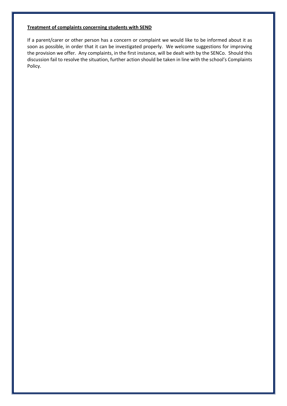## **Treatment of complaints concerning students with SEND**

If a parent/carer or other person has a concern or complaint we would like to be informed about it as soon as possible, in order that it can be investigated properly. We welcome suggestions for improving the provision we offer. Any complaints, in the first instance, will be dealt with by the SENCo. Should this discussion fail to resolve the situation, further action should be taken in line with the school's Complaints Policy.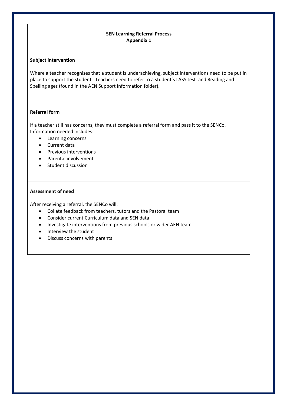# **SEN Learning Referral Process Appendix 1**

### **Subject intervention**

Where a teacher recognises that a student is underachieving, subject interventions need to be put in place to support the student. Teachers need to refer to a student's LASS test and Reading and Spelling ages (found in the AEN Support Information folder).

# **Referral form**

If a teacher still has concerns, they must complete a referral form and pass it to the SENCo. Information needed includes:

- Learning concerns
- Current data
- Previous interventions
- Parental involvement
- Student discussion

### **Assessment of need**

After receiving a referral, the SENCo will:

- Collate feedback from teachers, tutors and the Pastoral team
- Consider current Curriculum data and SEN data
- Investigate interventions from previous schools or wider AEN team
- Interview the student
- Discuss concerns with parents